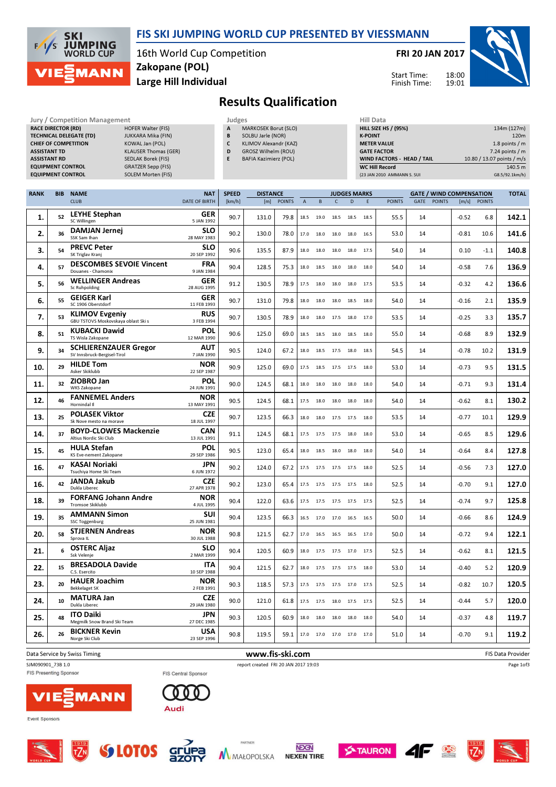

### FIS SKI JUMPING WORLD CUP PRESENTED BY VIESSMANN

16th World Cup Competition Large Hill Individual Zakopane (POL)

FRI 20 JAN 2017

Start Time: Finish Time:



# Results Qualification

| Jury / Competition Management  |                             | Judges |                              | <b>Hill Data</b>   |
|--------------------------------|-----------------------------|--------|------------------------------|--------------------|
| <b>RACE DIRECTOR (RD)</b>      | <b>HOFER Walter (FIS)</b>   | A      | <b>MARKOSEK Borut (SLO)</b>  | <b>HILL SIZE H</b> |
| <b>TECHNICAL DELEGATE (TD)</b> | <b>JUKKARA Mika (FIN)</b>   | B      | SOLBU Jarle (NOR)            | <b>K-POINT</b>     |
| <b>CHIEF OF COMPETITION</b>    | KOWAL Jan (POL)             | C      | KLIMOV Alexandr (KAZ)        | <b>METER VAI</b>   |
| <b>ASSISTANT TD</b>            | <b>KLAUSER Thomas (GER)</b> | D      | <b>GROSZ Wilhelm (ROU)</b>   | <b>GATE FACT</b>   |
| <b>ASSISTANT RD</b>            | <b>SEDLAK Borek (FIS)</b>   | Е      | <b>BAFIA Kazimierz (POL)</b> | <b>WIND FACT</b>   |
| <b>EQUIPMENT CONTROL</b>       | <b>GRATZER Sepp (FIS)</b>   |        |                              | WC Hill Re         |
| <b>EQUIPMENT CONTROL</b>       | <b>SOLEM Morten (FIS)</b>   |        |                              | (23 JAN 2010       |

| <b>JUMELJ</b> |                             |
|---------------|-----------------------------|
| A             | <b>MARKOSEK Borut (SLO)</b> |
| B             | SOLBU Jarle (NOR)           |
| C             | KLIMOV Alexandr (KAZ)       |
| D             | <b>GROSZ Wilhelm (ROU)</b>  |
|               | $DAEIA$ Kazimierz $(DOI)$   |

|   | KLIMOV Alexandr (KAZ) |
|---|-----------------------|
| D | GROSZ Wilhelm (ROU)   |

| Hill Data                         |                            |
|-----------------------------------|----------------------------|
| <b>HILL SIZE HS / (95%)</b>       | 134m (127m)                |
| <b>K-POINT</b>                    | 120 <sub>m</sub>           |
| <b>METER VALUE</b>                | 1.8 points $/m$            |
| <b>GATE FACTOR</b>                | $7.24$ points / m          |
| <b>WIND FACTORS - HEAD / TAIL</b> | 10.80 / 13.07 points / m/s |
| <b>WC Hill Record</b>             | 140.5 m                    |
| (23 JAN 2010 AMMANN S. SUI        | G8.5/92.1km/h)             |

| <b>RANK</b> | <b>BIB</b> | <b>NAME</b>                                                  | <b>NAT</b>                              | <b>SPEED</b><br><b>DISTANCE</b><br><b>GATE / WIND COMPENSATION</b><br><b>JUDGES MARKS</b> |                 |               |             |      |              | <b>TOTAL</b>             |      |               |      |               |         |              |                   |
|-------------|------------|--------------------------------------------------------------|-----------------------------------------|-------------------------------------------------------------------------------------------|-----------------|---------------|-------------|------|--------------|--------------------------|------|---------------|------|---------------|---------|--------------|-------------------|
|             |            | <b>CLUB</b>                                                  | <b>DATE OF BIRTH</b>                    | [km/h]                                                                                    | [m]             | <b>POINTS</b> | $\mathsf A$ | B    | $\mathsf{C}$ | D                        | E    | <b>POINTS</b> | GATE | <b>POINTS</b> |         | [m/s] POINTS |                   |
| 1.          | 52         | <b>LEYHE Stephan</b><br>SC Willingen                         | <b>GER</b><br>5 JAN 1992                | 90.7                                                                                      | 131.0           | 79.8          | 18.5        | 19.0 |              | 18.5 18.5                | 18.5 | 55.5          | 14   |               | $-0.52$ | 6.8          | 142.1             |
| 2.          | 36         | DAMJAN Jernej<br>SSK Sam Ihan                                | <b>SLO</b><br>28 MAY 1983               | 90.2                                                                                      | 130.0           | 78.0          | 17.0        | 18.0 | 18.0 18.0    |                          | 16.5 | 53.0          | 14   |               | $-0.81$ | 10.6         | 141.6             |
| 3.          | 54         | <b>PREVC Peter</b><br>SK Triglav Kranj                       | <b>SLO</b><br>20 SEP 1992               | 90.6                                                                                      | 135.5           | 87.9          | 18.0        | 18.0 | 18.0         | 18.0                     | 17.5 | 54.0          | 14   |               | 0.10    | $-1.1$       | 140.8             |
| 4.          | 57         | <b>DESCOMBES SEVOIE Vincent</b><br>Douanes - Chamonix        | <b>FRA</b><br>9 JAN 1984                | 90.4                                                                                      | 128.5           | 75.3          | 18.0        | 18.5 |              | 18.0 18.0                | 18.0 | 54.0          | 14   |               | $-0.58$ | 7.6          | 136.9             |
| 5.          | 56         | <b>WELLINGER Andreas</b><br><b>Sc Ruhpolding</b>             | GER<br>28 AUG 1995                      | 91.2                                                                                      | 130.5           | 78.9          | 17.5        | 18.0 | 18.0         | 18.0                     | 17.5 | 53.5          | 14   |               | $-0.32$ | 4.2          | 136.6             |
| 6.          | 55         | <b>GEIGER Karl</b><br>SC 1906 Oberstdorf                     | GER<br>11 FEB 1993                      | 90.7                                                                                      | 131.0           | 79.8          | 18.0        | 18.0 | 18.0         | 18.5                     | 18.0 | 54.0          | 14   |               | $-0.16$ | 2.1          | 135.9             |
| 7.          | 53         | <b>KLIMOV Evgeniy</b><br>GBU TSTOVS Moskovskaya oblast Ski s | <b>RUS</b><br>3 FEB 1994                | 90.7                                                                                      | 130.5           | 78.9          | 18.0        | 18.0 |              | 17.5 18.0                | 17.0 | 53.5          | 14   |               | $-0.25$ | 3.3          | 135.7             |
| 8.          | 51         | <b>KUBACKI Dawid</b><br>TS Wisla Zakopane                    | <b>POL</b><br>12 MAR 1990               | 90.6                                                                                      | 125.0           | 69.0          | 18.5        | 18.5 | 18.0         | 18.5                     | 18.0 | 55.0          | 14   |               | $-0.68$ | 8.9          | 132.9             |
| 9.          | 34         | <b>SCHLIERENZAUER Gregor</b><br>SV Innsbruck-Bergisel-Tirol  | AUT<br>7 JAN 1990                       | 90.5                                                                                      | 124.0           | 67.2          | 18.0        | 18.5 | 17.5         | 18.0                     | 18.5 | 54.5          | 14   |               | $-0.78$ | 10.2         | 131.9             |
| 10.         | 29         | <b>HILDE Tom</b><br>Asker Skiklubb                           | <b>NOR</b><br>22 SEP 1987               | 90.9                                                                                      | 125.0           | 69.0          | 17.5        | 18.5 |              | 17.5 17.5                | 18.0 | 53.0          | 14   |               | $-0.73$ | 9.5          | 131.5             |
| 11.         | 32         | <b>ZIOBRO Jan</b><br>WKS Zakopane                            | <b>POL</b><br>24 JUN 1991               | 90.0                                                                                      | 124.5           | 68.1          | 18.0        | 18.0 | 18.0 18.0    |                          | 18.0 | 54.0          | 14   |               | $-0.71$ | 9.3          | 131.4             |
| 12.         | 46         | <b>FANNEMEL Anders</b><br>Hornindal II                       | <b>NOR</b><br>13 MAY 1991               | 90.5                                                                                      | 124.5           | 68.1          | 17.5        | 18.0 | 18.0         | 18.0                     | 18.0 | 54.0          | 14   |               | $-0.62$ | 8.1          | 130.2             |
| 13.         | 25         | <b>POLASEK Viktor</b><br>Sk Nove mesto na morave             | <b>CZE</b><br>18 JUL 1997               | 90.7                                                                                      | 123.5           | 66.3          | 18.0        |      |              | 18.0 17.5 17.5           | 18.0 | 53.5          | 14   |               | $-0.77$ | 10.1         | 129.9             |
| 14.         | 37         | <b>BOYD-CLOWES Mackenzie</b><br>Altius Nordic Ski Club       | <b>CAN</b><br>13 JUL 1991               | 91.1                                                                                      | 124.5           | 68.1          | 17.5        | 17.5 | 17.5 18.0    |                          | 18.0 | 53.0          | 14   |               | $-0.65$ | 8.5          | 129.6             |
| 15.         | 45         | <b>HULA Stefan</b><br><b>KS Eve-nement Zakopane</b>          | <b>POL</b><br>29 SEP 1986               | 90.5                                                                                      | 123.0           | 65.4          | 18.0        | 18.5 | 18.0         | 18.0                     | 18.0 | 54.0          | 14   |               | $-0.64$ | 8.4          | 127.8             |
| 16.         | 47         | KASAI Noriaki<br>Tsuchiya Home Ski Team                      | <b>JPN</b><br>6 JUN 1972                | 90.2                                                                                      | 124.0           | 67.2          | 17.5        | 17.5 |              | 17.5 17.5                | 18.0 | 52.5          | 14   |               | $-0.56$ | 7.3          | 127.0             |
| 16.         | 42         | <b>JANDA Jakub</b><br>Dukla Liberec                          | <b>CZE</b><br>27 APR 1978               | 90.2                                                                                      | 123.0           | 65.4          | 17.5        | 17.5 | 17.5 17.5    |                          | 18.0 | 52.5          | 14   |               | $-0.70$ | 9.1          | 127.0             |
| 18.         | 39         | <b>FORFANG Johann Andre</b><br><b>Tromsoe Skiklubb</b>       | <b>NOR</b><br>4 JUL 1995                | 90.4                                                                                      | 122.0           | 63.6          | 17.5        | 17.5 | 17.5         | 17.5                     | 17.5 | 52.5          | 14   |               | $-0.74$ | 9.7          | 125.8             |
| 19.         | 35         | <b>AMMANN Simon</b><br><b>SSC Toggenburg</b>                 | <b>SUI</b><br>25 JUN 1981               | 90.4                                                                                      | 123.5           | 66.3          | 16.5        |      |              | 17.0 17.0 16.5 16.5      |      | 50.0          | 14   |               | $-0.66$ | 8.6          | 124.9             |
| 20.         | 58         | <b>STJERNEN Andreas</b><br>Sprova IL                         | <b>NOR</b><br>30 JUL 1988<br><b>SLO</b> | 90.8                                                                                      | 121.5           | 62.7          | 17.0        | 16.5 |              | 16.5 16.5 17.0           |      | 50.0          | 14   |               | $-0.72$ | 9.4          | 122.1             |
| 21.         | 6          | <b>OSTERC Aljaz</b><br>Ssk Velenje                           | 2 MAR 1999                              | 90.4                                                                                      | 120.5           | 60.9          | 18.0        | 17.5 | 17.5         | 17.0                     | 17.5 | 52.5          | 14   |               | $-0.62$ | 8.1          | 121.5             |
| 22.         | 15         | <b>BRESADOLA Davide</b><br>C.S. Esercito                     | <b>ITA</b><br>10 SEP 1988               | 90.4                                                                                      | 121.5           | 62.7          | 18.0        | 17.5 |              | 17.5 17.5                | 18.0 | 53.0          | 14   |               | $-0.40$ | 5.2          | 120.9             |
| 23.         | 20         | <b>HAUER Joachim</b><br><b>Bekkelaget SK</b>                 | <b>NOR</b><br>2 FEB 1991                | 90.3                                                                                      | 118.5           | 57.3          | 17.5        | 17.5 |              | 17.5 17.0 17.5           |      | 52.5          | 14   |               | $-0.82$ | 10.7         | 120.5             |
| 24.         | 10         | <b>MATURA Jan</b><br>Dukla Liberec                           | <b>CZE</b><br>29 JAN 1980               | 90.0                                                                                      | 121.0           | 61.8          | 17.5        | 17.5 |              | 18.0 17.5                | 17.5 | 52.5          | 14   |               | $-0.44$ | 5.7          | 120.0             |
| 25.         | 48         | <b>ITO Daiki</b><br>Megmilk Snow Brand Ski Team              | JPN<br>27 DEC 1985                      | 90.3                                                                                      | 120.5           | 60.9          | 18.0        | 18.0 | 18.0 18.0    |                          | 18.0 | 54.0          | 14   |               | $-0.37$ | 4.8          | 119.7             |
| 26.         | 26         | <b>BICKNER Kevin</b><br>Norge Ski Club                       | <b>USA</b><br>23 SEP 1996               | 90.8                                                                                      | 119.5           | 59.1          |             |      |              | 17.0 17.0 17.0 17.0 17.0 |      | 51.0          | 14   |               | $-0.70$ | 9.1          | 119.2             |
|             |            | Data Service by Swiss Timing                                 |                                         |                                                                                           | www.fis-ski.com |               |             |      |              |                          |      |               |      |               |         |              | FIS Data Provider |





FIS Central Sponsor

SJM090901\_73B 1.0 report created FRI 20 JAN 2017 19:03



FIS Presenting Sponsor















Page 1of3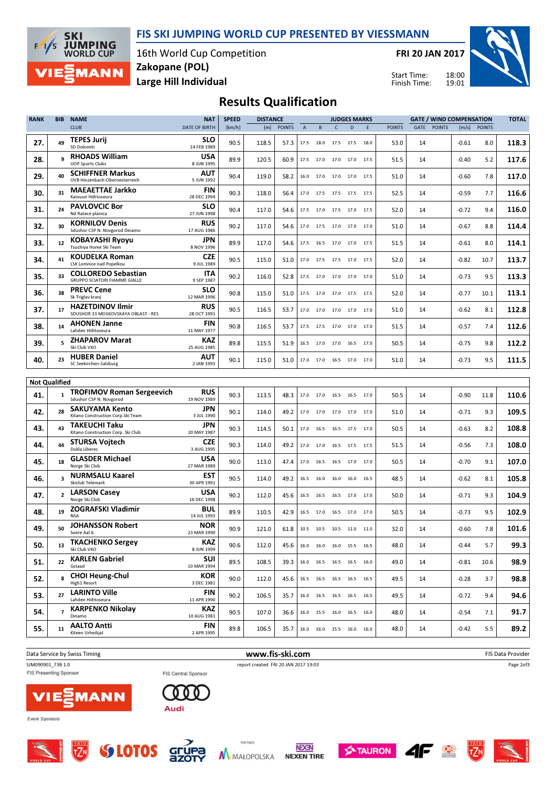



16th World Cup Competition Large Hill Individual Zakopane (POL)

FRI 20 JAN 2017

Start Time: Finish Time:



## Results Qualification

| <b>RANK</b>          | <b>BIB</b>     | <b>NAME</b>                                                        | <b>NAT</b>                | <b>SPEED</b> | <b>DISTANCE</b> |               |                           |                                                        |                | <b>JUDGES MARKS</b> |      |               |      |               | <b>GATE / WIND COMPENSATION</b> |               | <b>TOTAL</b> |
|----------------------|----------------|--------------------------------------------------------------------|---------------------------|--------------|-----------------|---------------|---------------------------|--------------------------------------------------------|----------------|---------------------|------|---------------|------|---------------|---------------------------------|---------------|--------------|
|                      |                | <b>CLUB</b>                                                        | <b>DATE OF BIRTH</b>      | [km/h]       | [m]             | <b>POINTS</b> | $\boldsymbol{\mathsf{A}}$ | B                                                      | C              | D                   | E    | <b>POINTS</b> | GATE | <b>POINTS</b> | [m/s]                           | <b>POINTS</b> |              |
| 27.                  | 49             | <b>TEPES Jurij</b><br>SD Dolomiti                                  | SLO<br>14 FEB 1989        | 90.5         | 118.5           | 57.3          | 17.5                      | 18.0                                                   |                | 17.5 17.5 18.0      |      | 53.0          | 14   |               | -0.61                           | 8.0           | 118.3        |
| 28.                  | 9              | <b>RHOADS William</b><br><b>UOP Sports Clubs</b>                   | <b>USA</b><br>8 JUN 1995  | 89.9         | 120.5           | 60.9          | 17.5                      | 17.0                                                   | 17.0           | 17.0 17.5           |      | 51.5          | 14   |               | -0.40                           | 5.2           | 117.6        |
| 29.                  | 40             | <b>SCHIFFNER Markus</b><br>UVB Hinzenbach-Oberoesterreich          | <b>AUT</b><br>5 JUN 1992  | 90.4         | 119.0           | 58.2          | 16.0                      | 17.0                                                   | 17.0           | 17.0 17.5           |      | 51.0          | 14   |               | -0.60                           | 7.8           | 117.0        |
| 30.                  | 31             | <b>MAEAETTAE Jarkko</b><br>Kainuun Hiihtoseura                     | <b>FIN</b><br>28 DEC 1994 | 90.3         | 118.0           | 56.4          | 17.0                      | 17.5                                                   | 17.5           | 17.5 17.5           |      | 52.5          | 14   |               | $-0.59$                         | 7.7           | 116.6        |
| 31.                  | 24             | <b>PAVLOVCIC Bor</b><br>Nd Ratece planica                          | <b>SLO</b><br>27 JUN 1998 | 90.4         | 117.0           | 54.6          | 17.5                      | 17.0                                                   |                | 17.5 17.0 17.5      |      | 52.0          | 14   |               | $-0.72$                         | 9.4           | 116.0        |
| 32.                  | 30             | <b>KORNILOV Denis</b><br>Sdushor CSP N. Novgorod Dinamo            | RUS<br>17 AUG 1986        | 90.2         | 117.0           | 54.6          | 17.0                      | 17.5                                                   | 17.0           | 17.0                | 17.0 | 51.0          | 14   |               | $-0.67$                         | 8.8           | 114.4        |
| 33.                  | 12             | <b>KOBAYASHI Ryoyu</b><br>Tsuchiya Home Ski Team                   | JPN<br>8 NOV 1996         | 89.9         | 117.0           | 54.6          | 17.5                      | 16.5                                                   | 17.0           | 17.0                | 17.5 | 51.5          | 14   |               | $-0.61$                         | 8.0           | 114.1        |
| 34.                  | 41             | <b>KOUDELKA Roman</b><br><b>LSK Lomnice nad Popelkou</b>           | CZE<br>9 JUL 1989         | 90.5         | 115.0           | 51.0          | 17.0                      | 17.5                                                   | 17.5           | 17.0                | 17.5 | 52.0          | 14   |               | $-0.82$                         | 10.7          | 113.7        |
| 35.                  | 33             | <b>COLLOREDO Sebastian</b><br><b>GRUPPO SCIATORI FIAMME GIALLE</b> | ITA<br>9 SEP 1987         | 90.2         | 116.0           | 52.8          |                           | 17.5 17.0 17.0 17.0 17.0                               |                |                     |      | 51.0          | 14   |               | $-0.73$                         | 9.5           | 113.3        |
| 36.                  | 38             | <b>PREVC Cene</b><br>Sk Triglav kranj                              | <b>SLO</b><br>12 MAR 1996 | 90.8         | 115.0           | 51.0          | 17.5                      | 17.0                                                   |                | 17.0 17.5 17.5      |      | 52.0          | 14   |               | $-0.77$                         | 10.1          | 113.1        |
| 37.                  | 17             | <b>HAZETDINOV Ilmir</b><br>SDUSHOR 33 MOSKOVSKAYA OBLAST - RES     | RUS<br>28 OCT 1991        | 90.5         | 116.5           | 53.7          | 17.0                      | 17.0 17.0 17.0 17.0                                    |                |                     |      | 51.0          | 14   |               | $-0.62$                         | 8.1           | 112.8        |
| 38.                  | 14             | <b>AHONEN Janne</b><br>Lahden Hiihtoseura                          | <b>FIN</b><br>11 MAY 1977 | 90.8         | 116.5           | 53.7          | 17.5                      | 17.5                                                   | 17.0           | 17.0                | 17.0 | 51.5          | 14   |               | -0.57                           | 7.4           | 112.6        |
| 39.                  | 5              | <b>ZHAPAROV Marat</b><br>Ski Club VKO                              | KAZ<br>25 AUG 1985        | 89.8         | 115.5           | 51.9          | 16.5                      | 17.0 17.0 16.5 17.0                                    |                |                     |      | 50.5          | 14   |               | -0.75                           | 9.8           | 112.2        |
| 40.                  | 23             | <b>HUBER Daniel</b><br>SC Seekirchen-Salzburg                      | <b>AUT</b><br>2 JAN 1993  | 90.1         | 115.0           | 51.0          | 17.0                      |                                                        | 17.0 16.5 17.0 |                     | 17.0 | 51.0          | 14   |               | -0.73                           | 9.5           | 111.5        |
|                      |                |                                                                    |                           |              |                 |               |                           |                                                        |                |                     |      |               |      |               |                                 |               |              |
| <b>Not Qualified</b> |                |                                                                    | <b>RUS</b>                |              |                 |               |                           |                                                        |                |                     |      |               |      |               |                                 |               |              |
| 41.                  | $\mathbf{1}$   | <b>TROFIMOV Roman Sergeevich</b><br>Sdushor CSP N. Novgorod        | 19 NOV 1989               | 90.3         | 113.5           | 48.3          | 17.0                      | 17.0                                                   |                | 16.5 16.5 17.0      |      | 50.5          | 14   |               | -0.90                           | 11.8          | 110.6        |
| 42.                  | 28             | <b>SAKUYAMA Kento</b><br>Kitano Construction Corp. Ski Team        | <b>JPN</b><br>3 JUL 1990  | 90.1         | 114.0           | 49.2          | 17.0                      | 17.0                                                   |                | 17.0 17.0 17.0      |      | 51.0          | 14   |               | -0.71                           | 9.3           | 109.5        |
| 43.                  | 43             | <b>TAKEUCHI Taku</b><br>Kitano Construction Corp. Ski Club         | <b>JPN</b><br>20 MAY 1987 | 90.3         | 114.5           | 50.1          | 17.0                      | 16.5                                                   | 16.5           | 17.5 17.0           |      | 50.5          | 14   |               | -0.63                           | 8.2           | 108.8        |
| 44.                  | 44             | <b>STURSA Voitech</b><br>Dukla Liberec                             | CZE<br>3 AUG 1995         | 90.3         | 114.0           | 49.2          | 17.0                      | 17.0                                                   |                | 16.5 17.5 17.5      |      | 51.5          | 14   |               | -0.56                           | 7.3           | 108.0        |
| 45.                  | 18             | <b>GLASDER Michael</b><br>Norge Ski Club                           | USA<br>27 MAR 1989        | 90.0         | 113.0           | 47.4          | 17.0                      | 16.5                                                   | 16.5           | 17.0                | 17.0 | 50.5          | 14   |               | $-0.70$                         | 9.1           | 107.0        |
| 46.                  | 3              | <b>NURMSALU Kaarel</b><br>Skiclub Telemark                         | EST<br>30 APR 1991        | 90.5         | 114.0           | 49.2          | 16.5                      | 16.0                                                   | 16.0           | 16.0                | 16.5 | 48.5          | 14   |               | $-0.62$                         | 8.1           | 105.8        |
| 47.                  | $\overline{2}$ | <b>LARSON Casey</b><br>Norge Ski Club                              | USA<br>16 DEC 1998        | 90.2         | 112.0           | 45.6          | 16.5                      | 16.5                                                   | 16.5           | 17.0                | 17.0 | 50.0          | 14   |               | $-0.71$                         | 9.3           | 104.9        |
| 48.                  | 19             | <b>ZOGRAFSKI Vladimir</b><br><b>NSA</b>                            | BUL<br>14 JUL 1993        | 89.9         | 110.5           | 42.9          | 16.5                      | 17.0                                                   | 16.5           | 17.0                | 17.0 | 50.5          | 14   |               | $-0.73$                         | 9.5           | 102.9        |
| 49.                  | 50             | <b>JOHANSSON Robert</b><br>Soere Aal II                            | <b>NOR</b><br>23 MAR 1990 | 90.9         | 121.0           | 61.8          |                           | 10.5 10.5 10.5 11.0 11.0                               |                |                     |      | 32.0          | 14   |               | $-0.60$                         | 7.8           | 101.6        |
| 50.                  | 13             | <b>TKACHENKO Sergey</b><br>Ski Club VKO                            | <b>KAZ</b><br>8 JUN 1999  | 90.6         | 112.0           | 45.6          |                           | $16.0 \qquad 16.0 \qquad 16.0 \qquad 15.5 \qquad 16.5$ |                |                     |      | 48.0          | 14   |               | $-0.44$                         | 5.7           | 99.3         |
| 51.                  | 22             | <b>KARLEN Gabriel</b><br>Gstaad                                    | SUI<br>10 MAR 1994        | 89.5         | 108.5           | 39.3          |                           | 16.0 16.5 16.5 16.5 16.0                               |                |                     |      | 49.0          | 14   |               | -0.81                           | 10.6          | 98.9         |
| 52.                  | 8              | <b>CHOI Heung-Chul</b><br>High1 Resort                             | <b>KOR</b><br>3 DEC 1981  | 90.0         | 112.0           | 45.6          |                           | 16.5 16.5 16.5 16.5 16.5                               |                |                     |      | 49.5          | 14   |               | -0.28                           | 3.7           | 98.8         |
| 53.                  | 27             | <b>LARINTO Ville</b><br>Lahden Hiihtoseura                         | <b>FIN</b><br>11 APR 1990 | 90.2         | 106.5           | 35.7          |                           | 16.0 16.5 16.5 16.5 16.5                               |                |                     |      | 49.5          | 14   |               | -0.72                           | 9.4           | 94.6         |
| 54.                  | $\overline{7}$ | <b>KARPENKO Nikolay</b><br>Dinamo                                  | KAZ<br>10 AUG 1981        | 90.5         | 107.0           | 36.6          |                           | 16.0 15.5 16.0 16.5 16.0                               |                |                     |      | 48.0          | 14   |               | $-0.54$                         | 7.1           | 91.7         |
| 55.                  | 11             | <b>AALTO Antti</b><br>Kiteen Urheilijat                            | FIN<br>2 APR 1995         | 89.8         | 106.5           | 35.7          |                           | 16.0 16.0 15.5 16.0 16.0                               |                |                     |      | 48.0          | 14   |               | -0.42                           | 5.5           | 89.2         |

Data Service by Swiss Timing **EXECUTE:** The Service by Swiss Timing FIS Data Provider SJM090901\_73B 1.0 report created FRI 20 JAN 2017 19:03 Page 2of3 FIS Presenting Sponsor FIS Central Sponsor 000 **MANN** Audi





 $T/N$